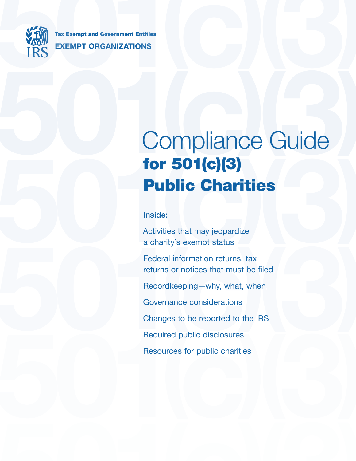

Tax Exempt and Government Entities EXEMPT ORGANIZATIONS Tax Exempt and Government Entities<br>
IRS<br>
EXEMPT ORGANIZATIONS

# Compliance Guide **For 501(c)(3)**<br> **Public Charities**<br>
Inside:<br>
Activities that may jeopardize<br>
a charity's exempt status<br>
Federal information returns, tax Compliance Guide for 501(c)(3) **Public Charities**

Inside:

Activities that may jeopardize a charity's exempt status

a charity's exempt status<br>
Federal information returns, tax<br>
returns or notices that must be filed<br>
Recordkeeping—why, what, when<br>
Governance considerations<br>
Changes to be reported to the IRS<br>
Required public disclosures Required public disclosures<br>Resources for public charities<br>The control of the charities<br>Although the charities<br>Although the charities<br>Although the charities<br>Although the charities<br>Although the charities<br>Although the charit Federal information returns, tax returns or notices that must be filed, Recordkeeping—why, what, when, Governance considerations, Changes to be reported to the IRS, Required public disclosures, Resources for public charities,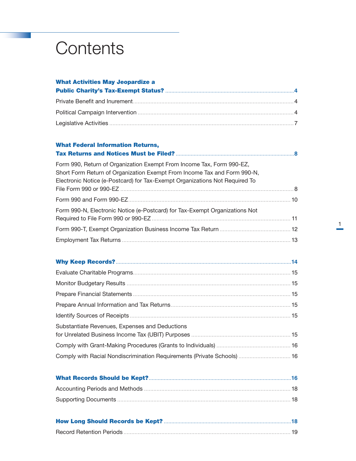# **Contents**

# What Activities May Jeopardize a Public Charity's Tax-Exempt Status? [......................................................................................](#page-4-0)**4**

# What Federal Information Returns,

| Form 990, Return of Organization Exempt From Income Tax, Form 990-EZ,<br>Short Form Return of Organization Exempt From Income Tax and Form 990-N, |  |
|---------------------------------------------------------------------------------------------------------------------------------------------------|--|
| Electronic Notice (e-Postcard) for Tax-Exempt Organizations Not Required To                                                                       |  |
|                                                                                                                                                   |  |
|                                                                                                                                                   |  |
| Form 990-N, Electronic Notice (e-Postcard) for Tax-Exempt Organizations Not                                                                       |  |
|                                                                                                                                                   |  |
|                                                                                                                                                   |  |
|                                                                                                                                                   |  |

| Substantiate Revenues, Expenses and Deductions |  |
|------------------------------------------------|--|
|                                                |  |

|--|--|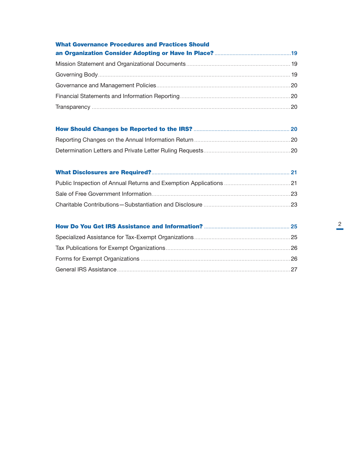| <b>What Governance Procedures and Practices Should</b> |  |
|--------------------------------------------------------|--|
|                                                        |  |
|                                                        |  |
|                                                        |  |
|                                                        |  |
|                                                        |  |
|                                                        |  |
|                                                        |  |
|                                                        |  |
|                                                        |  |
|                                                        |  |
|                                                        |  |
|                                                        |  |
|                                                        |  |
|                                                        |  |
|                                                        |  |
|                                                        |  |
|                                                        |  |

General IRS Assistance [..............................................................................................................](#page-27-0)27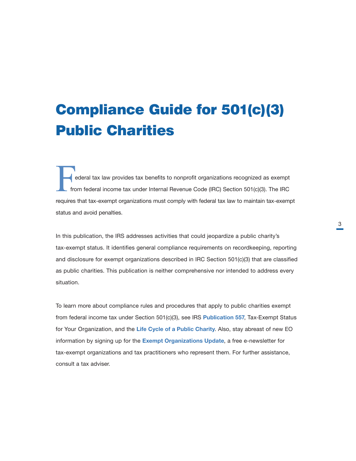# Compliance Guide for 501(c)(3) Public Charities

ederal tax law provides tax benefits to nonprofit organizations recognized as exempt from federal income tax under Internal Revenue Code (IRC) Section 501(c)(3). The IRC requires that tax-exempt organizations must comply with federal tax law to maintain tax-exempt status and avoid penalties.

In this publication, the IRS addresses activities that could jeopardize a public charity's tax-exempt status. It identifies general compliance requirements on recordkeeping, reporting and disclosure for exempt organizations described in IRC Section 501(c)(3) that are classified as public charities. This publication is neither comprehensive nor intended to address every situation.

To learn more about compliance rules and procedures that apply to public charities exempt from federal income tax under Section 501(c)(3), see IRS **[Publication 557](https://www.irs.gov/forms-pubs/about-publication-557)**, Tax-Exempt Status for Your Organization, and the [Life Cycle of a Public Charity](https://www.irs.gov/charities-non-profits/charitable-organizations/life-cycle-of-a-public-charity). Also, stay abreast of new EO information by signing up for the **[Exempt Organizations Update](https://www.irs.gov/charities-non-profits/current-edition-of-exempt-organizations-update)**, a free e-newsletter for tax-exempt organizations and tax practitioners who represent them. For further assistance, consult a tax adviser.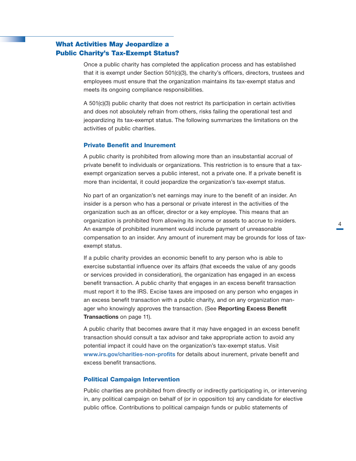# <span id="page-4-0"></span>What Activities May Jeopardize a Public Charity's Tax-Exempt Status?

Once a public charity has completed the application process and has established that it is exempt under Section 501(c)(3), the charity's officers, directors, trustees and employees must ensure that the organization maintains its tax-exempt status and meets its ongoing compliance responsibilities.

A 501(c)(3) public charity that does not restrict its participation in certain activities and does not absolutely refrain from others, risks failing the operational test and jeopardizing its tax-exempt status. The following summarizes the limitations on the activities of public charities.

# Private Benefit and Inurement

A public charity is prohibited from allowing more than an insubstantial accrual of private benefit to individuals or organizations. This restriction is to ensure that a taxexempt organization serves a public interest, not a private one. If a private benefit is more than incidental, it could jeopardize the organization's tax-exempt status.

No part of an organization's net earnings may inure to the benefit of an insider. An insider is a person who has a personal or private interest in the activities of the organization such as an officer, director or a key employee. This means that an organization is prohibited from allowing its income or assets to accrue to insiders. An example of prohibited inurement would include payment of unreasonable compensation to an insider. Any amount of inurement may be grounds for loss of taxexempt status.

If a public charity provides an economic benefit to any person who is able to exercise substantial influence over its affairs (that exceeds the value of any goods or services provided in consideration), the organization has engaged in an excess benefit transaction. A public charity that engages in an excess benefit transaction must report it to the IRS. Excise taxes are imposed on any person who engages in an excess benefit transaction with a public charity, and on any organization manager who knowingly approves the transaction. (See Reporting Excess Benefit Transactions on page 11).

A public charity that becomes aware that it may have engaged in an excess benefit transaction should consult a tax advisor and take appropriate action to avoid any potential impact it could have on the organization's tax-exempt status. Visit [www.irs.gov/charities-non-profits](http://www.irs.gov/charities-non-profits) for details about inurement, private benefit and excess benefit transactions.

#### Political Campaign Intervention

Public charities are prohibited from directly or indirectly participating in, or intervening in, any political campaign on behalf of (or in opposition to) any candidate for elective public office. Contributions to political campaign funds or public statements of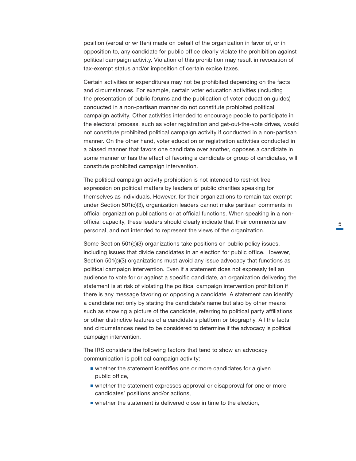position (verbal or written) made on behalf of the organization in favor of, or in opposition to, any candidate for public office clearly violate the prohibition against political campaign activity. Violation of this prohibition may result in revocation of tax-exempt status and/or imposition of certain excise taxes.

Certain activities or expenditures may not be prohibited depending on the facts and circumstances. For example, certain voter education activities (including the presentation of public forums and the publication of voter education guides) conducted in a non-partisan manner do not constitute prohibited political campaign activity. Other activities intended to encourage people to participate in the electoral process, such as voter registration and get-out-the-vote drives, would not constitute prohibited political campaign activity if conducted in a non-partisan manner. On the other hand, voter education or registration activities conducted in a biased manner that favors one candidate over another, opposes a candidate in some manner or has the effect of favoring a candidate or group of candidates, will constitute prohibited campaign intervention.

The political campaign activity prohibition is not intended to restrict free expression on political matters by leaders of public charities speaking for themselves as individuals. However, for their organizations to remain tax exempt under Section 501(c)(3), organization leaders cannot make partisan comments in official organization publications or at official functions. When speaking in a nonofficial capacity, these leaders should clearly indicate that their comments are personal, and not intended to represent the views of the organization.

Some Section 501(c)(3) organizations take positions on public policy issues, including issues that divide candidates in an election for public office. However, Section 501(c)(3) organizations must avoid any issue advocacy that functions as political campaign intervention. Even if a statement does not expressly tell an audience to vote for or against a specific candidate, an organization delivering the statement is at risk of violating the political campaign intervention prohibition if there is any message favoring or opposing a candidate. A statement can identify a candidate not only by stating the candidate's name but also by other means such as showing a picture of the candidate, referring to political party affiliations or other distinctive features of a candidate's platform or biography. All the facts and circumstances need to be considered to determine if the advocacy is political campaign intervention.

The IRS considers the following factors that tend to show an advocacy communication is political campaign activity:

- whether the statement identifies one or more candidates for a given public office,
- whether the statement expresses approval or disapproval for one or more candidates' positions and/or actions,
- whether the statement is delivered close in time to the election,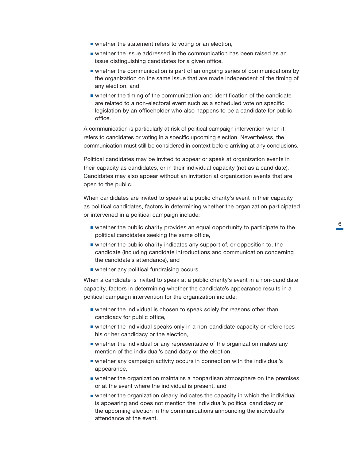- whether the statement refers to voting or an election,
- whether the issue addressed in the communication has been raised as an issue distinguishing candidates for a given office,
- whether the communication is part of an ongoing series of communications by the organization on the same issue that are made independent of the timing of any election, and,
- whether the timing of the communication and identification of the candidate are related to a non-electoral event such as a scheduled vote on specific legislation by an officeholder who also happens to be a candidate for public office.

A communication is particularly at risk of political campaign intervention when it refers to candidates or voting in a specific upcoming election. Nevertheless, the communication must still be considered in context before arriving at any conclusions.

Political candidates may be invited to appear or speak at organization events in their capacity as candidates, or in their individual capacity (not as a candidate). Candidates may also appear without an invitation at organization events that are open to the public.

When candidates are invited to speak at a public charity's event in their capacity as political candidates, factors in determining whether the organization participated or intervened in a political campaign include:

- whether the public charity provides an equal opportunity to participate to the political candidates seeking the same office,
- whether the public charity indicates any support of, or opposition to, the candidate (including candidate introductions and communication concerning the candidate's attendance), and
- whether any political fundraising occurs.

When a candidate is invited to speak at a public charity's event in a non-candidate capacity, factors in determining whether the candidate's appearance results in a political campaign intervention for the organization include:

- whether the individual is chosen to speak solely for reasons other than candidacy for public office,
- whether the individual speaks only in a non-candidate capacity or references his or her candidacy or the election,
- whether the individual or any representative of the organization makes any mention of the individual's candidacy or the election,
- whether any campaign activity occurs in connection with the individual's appearance,
- whether the organization maintains a nonpartisan atmosphere on the premises or at the event where the individual is present, and
- whether the organization clearly indicates the capacity in which the individual is appearing and does not mention the individual's political candidacy or the upcoming election in the communications announcing the indivdual's attendance at the event.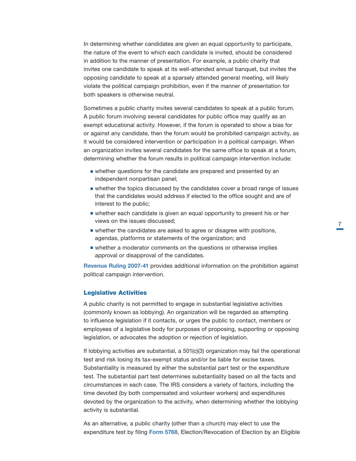<span id="page-7-0"></span>In determining whether candidates are given an equal opportunity to participate, the nature of the event to which each candidate is invited, should be considered in addition to the manner of presentation. For example, a public charity that invites one candidate to speak at its well-attended annual banquet, but invites the opposing candidate to speak at a sparsely attended general meeting, will likely violate the political campaign prohibition, even if the manner of presentation for both speakers is otherwise neutral.

Sometimes a public charity invites several candidates to speak at a public forum. A public forum involving several candidates for public office may qualify as an exempt educational activity. However, if the forum is operated to show a bias for or against any candidate, then the forum would be prohibited campaign activity, as it would be considered intervention or participation in a political campaign. When an organization invites several candidates for the same office to speak at a forum, determining whether the forum results in political campaign intervention include:

- whether questions for the candidate are prepared and presented by an independent nonpartisan panel;
- whether the topics discussed by the candidates cover a broad range of issues that the candidates would address if elected to the office sought and are of interest to the public;
- whether each candidate is given an equal opportunity to present his or her views on the issues discussed;
- whether the candidates are asked to agree or disagree with positions, agendas, platforms or statements of the organization; and
- whether a moderator comments on the questions or otherwise implies approval or disapproval of the candidates.

[Revenue Ruling 2007-41](https://www.irs.gov/irb/2007-25_IRB) provides additional information on the prohibition against political campaign intervention.

# Legislative Activities

A public charity is not permitted to engage in substantial legislative activities (commonly known as lobbying). An organization will be regarded as attempting to influence legislation if it contacts, or urges the public to contact, members or employees of a legislative body for purposes of proposing, supporting or opposing legislation, or advocates the adoption or rejection of legislation.

If lobbying activities are substantial, a 501(c)(3) organization may fail the operational test and risk losing its tax-exempt status and/or be liable for excise taxes. Substantiality is measured by either the substantial part test or the expenditure test. The substantial part test determines substantiality based on all the facts and circumstances in each case. The IRS considers a variety of factors, including the time devoted (by both compensated and volunteer workers) and expenditures devoted by the organization to the activity, when determining whether the lobbying activity is substantial.

As an alternative, a public charity (other than a church) may elect to use the expenditure test by filing [Form 5768](https://www.irs.gov/pub/irs-pdf/f5768.pdf), Election/Revocation of Election by an Eligible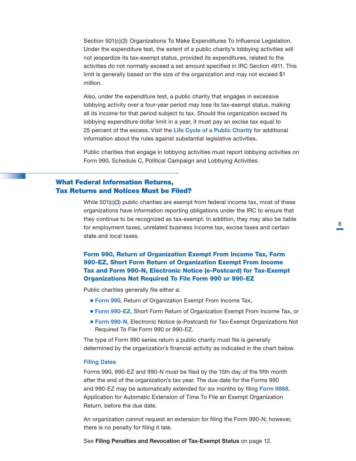<span id="page-8-0"></span>Section 501(c)(3) Organizations To Make Expenditures To Influence Legislation. Under the expenditure test, the extent of a public charity's lobbying activities will not jeopardize its tax-exempt status, provided its expenditures, related to the activities do not normally exceed a set amount specified in IRC Section 4911. This limit is generally based on the size of the organization and may not exceed \$1 million.

Also, under the expenditure test, a public charity that engages in excessive lobbying activity over a four-year period may lose its tax-exempt status, making all its income for that period subject to tax. Should the organization exceed its lobbying expenditure dollar limit in a year, it must pay an excise tax equal to 25 percent of the excess. Visit the [Life Cycle of a Public Charity](https://www.irs.gov/charities-non-profits/charitable-organizations/life-cycle-of-a-public-charity) for additional information about the rules against substantial legislative activities.

Public charities that engage in lobbying activities must report lobbying activities on Form 990, Schedule C, Political Campaign and Lobbying Activities.

# What Federal Information Returns, Tax Returns and Notices Must be Filed?

While 501(c)(3) public charities are exempt from federal income tax, most of these organizations have information reporting obligations under the IRC to ensure that they continue to be recognized as tax-exempt. In addition, they may also be liable for employment taxes, unrelated business income tax, excise taxes and certain state and local taxes.

# Form 990, Return of Organization Exempt From Income Tax, Form 990-EZ, Short Form Return of Organization Exempt From Income Tax and Form 990-N, Electronic Notice (e-Postcard) for Tax-Exempt Organizations Not Required To File Form 990 or 990-EZ

Public charities generally file either a:

- [Form 990](https://www.irs.gov/pub/irs-pdf/f990.pdf), Return of Organization Exempt From Income Tax,
- [Form 990-EZ](https://www.irs.gov/pub/irs-pdf/f990ez.pdf), Short Form Return of Organization Exempt From Income Tax, or
- [Form 990-N](https://www.irs.gov/charities-non-profits/annual-electronic-filing-requirement-for-small-exempt-organizations-form-990-n-e-postcard), Electronic Notice (e-Postcard) for Tax-Exempt Organizations Not Required To File Form 990 or 990-EZ.

The type of Form 990 series return a public charity must file is generally determined by the organization's financial activity as indicated in the chart below.

#### **Filing Dates**

Forms 990, 990-EZ and 990-N must be filed by the 15th day of the fifth month after the end of the organization's tax year. The due date for the Forms 990 and 990-EZ may be automatically extended for six months by filing [Form 8868](https://www.irs.gov/pub/irs-pdf/f8868.pdf), Application for Automatic Extension of Time To File an Exempt Organization Return, before the due date.

An organization cannot request an extension for filing the Form 990-N; however, there is no penalty for filing it late.

See Filing Penalties and Revocation of Tax-Exempt Status on page 12.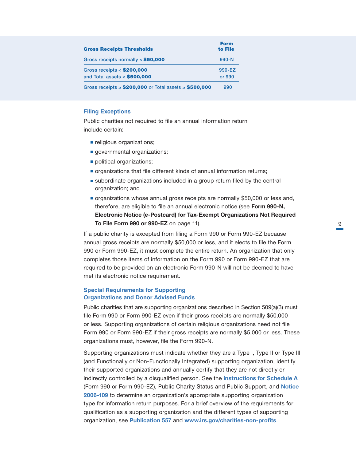| <b>Gross Receipts Thresholds</b>                               |                  |
|----------------------------------------------------------------|------------------|
| Gross receipts normally $\le$ \$50,000                         | $990 - N$        |
| Gross receipts $<$ \$200,000<br>and Total assets $<$ \$500,000 | 990-EZ<br>or 990 |
| Gross receipts $\ge$ \$200,000 or Total assets $\ge$ \$500,000 | 990              |

# **Filing Exceptions**

Public charities not required to file an annual information return include certain:

- religious organizations;
- governmental organizations;
- political organizations;
- organizations that file different kinds of annual information returns;
- subordinate organizations included in a group return filed by the central organization; and
- organizations whose annual gross receipts are normally \$50,000 or less and, therefore, are eligible to file an annual electronic notice (see Form 990-N, Electronic Notice (e-Postcard) for Tax-Exempt Organizations Not Required To File Form 990 or 990-EZ on page 11).

If a public charity is excepted from filing a Form 990 or Form 990-EZ because annual gross receipts are normally \$50,000 or less, and it elects to file the Form 990 or Form 990-EZ, it must complete the entire return. An organization that only completes those items of information on the Form 990 or Form 990-EZ that are required to be provided on an electronic Form 990-N will not be deemed to have met its electronic notice requirement.

# **Special Requirements for Supporting Organizations and Donor Advised Funds**

Public charities that are supporting organizations described in Section 509(a)(3) must file Form 990 or Form 990-EZ even if their gross receipts are normally \$50,000 or less. Supporting organizations of certain religious organizations need not file Form 990 or Form 990-EZ if their gross receipts are normally \$5,000 or less. These organizations must, however, file the Form 990-N.

Supporting organizations must indicate whether they are a Type I, Type II or Type III (and Functionally or Non-Functionally Integrated) supporting organization, identify their supported organizations and annually certify that they are not directly or indirectly controlled by a disqualified person. See the [instructions for Schedule A](https://www.irs.gov/pub/irs-pdf/i990sa.pdf) (Form 990 or Form 990-EZ), Public Charity Status and Public Support, and [Notice](https://www.irs.gov/irb/2006-51_IRB)  2006-109 to determine an organization's appropriate supporting organization type for information return purposes. For a brief overview of the requirements for qualification as a supporting organization and the different types of supporting organization, see [Publication 557](https://www.irs.gov/publications/p557) and [www.irs.gov/charities-non-profits](http://www.irs.gov/charities-non-profits).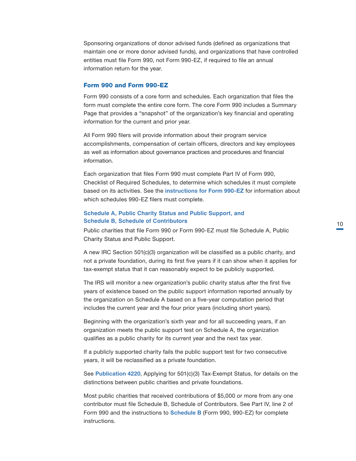<span id="page-10-0"></span>Sponsoring organizations of donor advised funds (defined as organizations that maintain one or more donor advised funds), and organizations that have controlled entities must file Form 990, not Form 990-EZ, if required to file an annual information return for the year.

#### Form 990 and Form 990-EZ

Form 990 consists of a core form and schedules. Each organization that files the form must complete the entire core form. The core Form 990 includes a Summary Page that provides a "snapshot" of the organization's key financial and operating information for the current and prior year.

All Form 990 filers will provide information about their program service accomplishments, compensation of certain officers, directors and key employees as well as information about governance practices and procedures and financial information.

Each organization that files Form 990 must complete Part IV of Form 990, Checklist of Required Schedules, to determine which schedules it must complete based on its activities. See the *[instructions for Form 990-EZ](https://www.irs.gov/pub/irs-pdf/i990ez.pdf)* for information about which schedules 990-EZ filers must complete.

# **Schedule A, Public Charity Status and Public Support, and Schedule B, Schedule of Contributors**

Public charities that file Form 990 or Form 990-EZ must file Schedule A, Public Charity Status and Public Support.

A new IRC Section 501(c)(3) organization will be classified as a public charity, and not a private foundation, during its first five years if it can show when it applies for tax-exempt status that it can reasonably expect to be publicly supported.

The IRS will monitor a new organization's public charity status after the first five years of existence based on the public support information reported annually by the organization on Schedule A based on a five-year computation period that includes the current year and the four prior years (including short years).

Beginning with the organization's sixth year and for all succeeding years, if an organization meets the public support test on Schedule A, the organization qualifies as a public charity for its current year and the next tax year.

If a publicly supported charity fails the public support test for two consecutive years, it will be reclassified as a private foundation.

See [Publication 4220](https://www.irs.gov/pub/irs-pdf/p4220.pdf), Applying for 501(c)(3) Tax-Exempt Status, for details on the distinctions between public charities and private foundations.

Most public charities that received contributions of \$5,000 or more from any one contributor must file Schedule B, Schedule of Contributors. See Part IV, line 2 of Form 990 and the instructions to **[Schedule B](https://www.irs.gov/pub/irs-pdf/f990ezb.pdf)** (Form 990, 990-EZ) for complete instructions.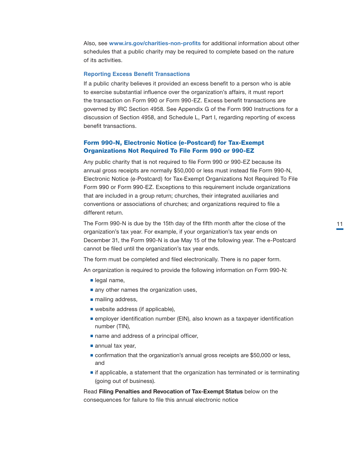<span id="page-11-0"></span>Also, see [www.irs.gov/charities-non-profits](http://www.irs.gov/charities-non-profits) for additional information about other schedules that a public charity may be required to complete based on the nature of its activities.

# **Reporting Excess Benefit Transactions**

If a public charity believes it provided an excess benefit to a person who is able to exercise substantial influence over the organization's affairs, it must report the transaction on Form 990 or Form 990-EZ. Excess benefit transactions are governed by IRC Section 4958. See Appendix G of the Form 990 Instructions for a discussion of Section 4958, and Schedule L, Part I, regarding reporting of excess benefit transactions.

# Form 990-N, Electronic Notice (e-Postcard) for Tax-Exempt Organizations Not Required To File Form 990 or 990-EZ

Any public charity that is not required to file Form 990 or 990-EZ because its annual gross receipts are normally \$50,000 or less must instead file Form 990-N, Electronic Notice (e-Postcard) for Tax-Exempt Organizations Not Required To File Form 990 or Form 990-EZ. Exceptions to this requirement include organizations that are included in a group return; churches, their integrated auxiliaries and conventions or associations of churches; and organizations required to file a different return.

The Form 990-N is due by the 15th day of the fifth month after the close of the organization's tax year. For example, if your organization's tax year ends on December 31, the Form 990-N is due May 15 of the following year. The e-Postcard cannot be filed until the organization's tax year ends.

The form must be completed and filed electronically. There is no paper form.

An organization is required to provide the following information on Form 990-N:

- legal name,
- any other names the organization uses,
- mailing address,
- website address (if applicable),
- employer identification number (EIN), also known as a taxpayer identification number (TIN),
- name and address of a principal officer,
- annual tax year,
- confirmation that the organization's annual gross receipts are \$50,000 or less, and
- ■■ if applicable, a statement that the organization has terminated or is terminating (going out of business).

Read Filing Penalties and Revocation of Tax-Exempt Status below on the consequences for failure to file this annual electronic notice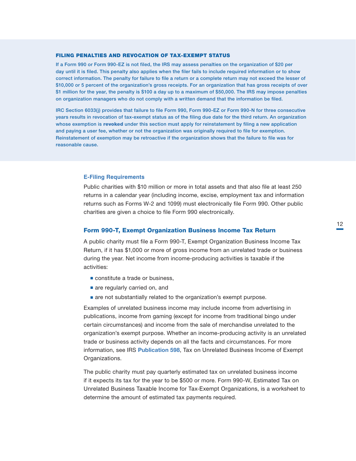#### <span id="page-12-0"></span>FILING PENALTIES AND REVOCATION OF TAX-EXEMPT STATUS

If a Form 990 or Form 990-EZ is not filed, the IRS may assess penalties on the organization of \$20 per day until it is filed. This penalty also applies when the filer fails to include required information or to show correct information. The penalty for failure to file a return or a complete return may not exceed the lesser of \$10,000 or 5 percent of the organization's gross receipts. For an organization that has gross receipts of over \$1 million for the year, the penalty is \$100 a day up to a maximum of \$50,000. The IRS may impose penalties on organization managers who do not comply with a written demand that the information be filed.

IRC Section 6033(j) provides that failure to file Form 990, Form 990-EZ or Form 990-N for three consecutive years results in revocation of tax-exempt status as of the filing due date for the third return. An organization whose exemption is [revoked](https://www.irs.gov/charities-non-profits/automatic-revocation-of-exemption) under this section must apply for reinstatement by filing a new application and paying a user fee, whether or not the organization was originally required to file for exemption. Reinstatement of exemption may be retroactive if the organization shows that the failure to file was for reasonable cause.

# **E-Filing Requirements**

Public charities with \$10 million or more in total assets and that also file at least 250 returns in a calendar year (including income, excise, employment tax and information returns such as Forms W-2 and 1099) must electronically file Form 990. Other public charities are given a choice to file Form 990 electronically.

# Form 990-T, Exempt Organization Business Income Tax Return

A public charity must file a Form 990-T, Exempt Organization Business Income Tax Return, if it has \$1,000 or more of gross income from an unrelated trade or business during the year. Net income from income-producing activities is taxable if the activities:

- constitute a trade or business,
- are regularly carried on, and
- are not substantially related to the organization's exempt purpose.

Examples of unrelated business income may include income from advertising in publications, income from gaming (except for income from traditional bingo under certain circumstances) and income from the sale of merchandise unrelated to the organization's exempt purpose. Whether an income-producing activity is an unrelated trade or business activity depends on all the facts and circumstances. For more information, see IRS [Publication 598](https://www.irs.gov/publications/p598), Tax on Unrelated Business Income of Exempt Organizations.

The public charity must pay quarterly estimated tax on unrelated business income if it expects its tax for the year to be \$500 or more. Form 990-W, Estimated Tax on Unrelated Business Taxable Income for Tax-Exempt Organizations, is a worksheet to determine the amount of estimated tax payments required.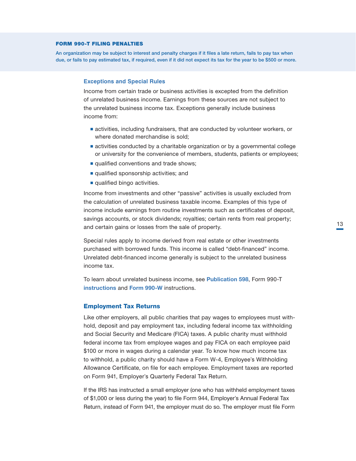#### <span id="page-13-0"></span>FORM 990-T FILING PENALTIES

An organization may be subject to interest and penalty charges if it files a late return, fails to pay tax when due, or fails to pay estimated tax, if required, even if it did not expect its tax for the year to be \$500 or more.

#### **Exceptions and Special Rules**

Income from certain trade or business activities is excepted from the definition of unrelated business income. Earnings from these sources are not subject to the unrelated business income tax. Exceptions generally include business income from:

- activities, including fundraisers, that are conducted by volunteer workers, or where donated merchandise is sold;
- activities conducted by a charitable organization or by a governmental college or university for the convenience of members, students, patients or employees;
- qualified conventions and trade shows;
- qualified sponsorship activities; and
- qualified bingo activities.

Income from investments and other "passive" activities is usually excluded from the calculation of unrelated business taxable income. Examples of this type of income include earnings from routine investments such as certificates of deposit, savings accounts, or stock dividends; royalties; certain rents from real property; and certain gains or losses from the sale of property.

Special rules apply to income derived from real estate or other investments purchased with borrowed funds. This income is called "debt-financed" income. Unrelated debt-financed income generally is subject to the unrelated business income tax.

To learn about unrelated business income, see [Publication 598](https://www.irs.gov/publications/p598), Form 990-T [instructions](https://www.irs.gov/pub/irs-pdf/i990t.pdf) and [Form 990-W](https://www.irs.gov/pub/irs-pdf/f990w.pdf) instructions.

# Employment Tax Returns

Like other employers, all public charities that pay wages to employees must withhold, deposit and pay employment tax, including federal income tax withholding and Social Security and Medicare (FICA) taxes. A public charity must withhold federal income tax from employee wages and pay FICA on each employee paid \$100 or more in wages during a calendar year. To know how much income tax to withhold, a public charity should have a Form W-4, Employee's Withholding Allowance Certificate, on file for each employee. Employment taxes are reported on Form 941, Employer's Quarterly Federal Tax Return.

If the IRS has instructed a small employer (one who has withheld employment taxes of \$1,000 or less during the year) to file Form 944, Employer's Annual Federal Tax Return, instead of Form 941, the employer must do so. The employer must file Form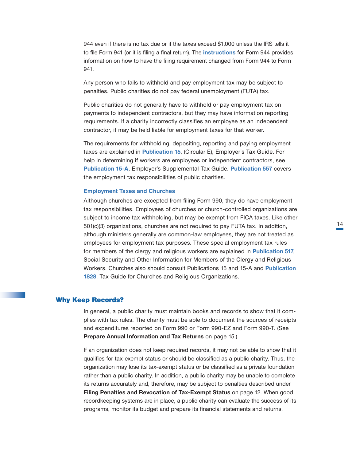<span id="page-14-0"></span>944 even if there is no tax due or if the taxes exceed \$1,000 unless the IRS tells it to file Form 941 (or it is filing a final return). The **[instructions](https://www.irs.gov/pub/irs-pdf/i944.pdf)** for Form 944 provides information on how to have the filing requirement changed from Form 944 to Form 941.

Any person who fails to withhold and pay employment tax may be subject to penalties. Public charities do not pay federal unemployment (FUTA) tax.

Public charities do not generally have to withhold or pay employment tax on payments to independent contractors, but they may have information reporting requirements. If a charity incorrectly classifies an employee as an independent contractor, it may be held liable for employment taxes for that worker.

The requirements for withholding, depositing, reporting and paying employment taxes are explained in [Publication 15](https://www.irs.gov/publications/p15), (Circular E), Employer's Tax Guide. For help in determining if workers are employees or independent contractors, see [Publication 15-A](https://www.irs.gov/publications/p15a), Employer's Supplemental Tax Guide. [Publication 557](https://www.irs.gov/publications/p557) covers the employment tax responsibilities of public charities.

#### **Employment Taxes and Churches**

Although churches are excepted from filing Form 990, they do have employment tax responsibilities. Employees of churches or church-controlled organizations are subject to income tax withholding, but may be exempt from FICA taxes. Like other 501(c)(3) organizations, churches are not required to pay FUTA tax. In addition, although ministers generally are common-law employees, they are not treated as employees for employment tax purposes. These special employment tax rules for members of the clergy and religious workers are explained in [Publication 517](https://www.irs.gov/publications/p517), Social Security and Other Information for Members of the Clergy and Religious Workers. Churches also should consult Publications 15 and 15-A and [Publication](https://www.irs.gov/pub/irs-pdf/p1828.pdf)  1828, Tax Guide for Churches and Religious Organizations.

#### Why Keep Records?

In general, a public charity must maintain books and records to show that it complies with tax rules. The charity must be able to document the sources of receipts and expenditures reported on Form 990 or Form 990-EZ and Form 990-T. (See Prepare Annual Information and Tax Returns on page 15.)

If an organization does not keep required records, it may not be able to show that it qualifies for tax-exempt status or should be classified as a public charity. Thus, the organization may lose its tax-exempt status or be classified as a private foundation rather than a public charity. In addition, a public charity may be unable to complete its returns accurately and, therefore, may be subject to penalties described under Filing Penalties and Revocation of Tax-Exempt Status on page 12. When good recordkeeping systems are in place, a public charity can evaluate the success of its programs, monitor its budget and prepare its financial statements and returns.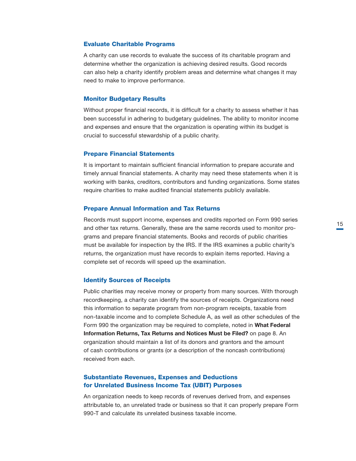#### <span id="page-15-0"></span>Evaluate Charitable Programs

A charity can use records to evaluate the success of its charitable program and determine whether the organization is achieving desired results. Good records can also help a charity identify problem areas and determine what changes it may need to make to improve performance.

# Monitor Budgetary Results

Without proper financial records, it is difficult for a charity to assess whether it has been successful in adhering to budgetary guidelines. The ability to monitor income and expenses and ensure that the organization is operating within its budget is crucial to successful stewardship of a public charity.

# Prepare Financial Statements

It is important to maintain sufficient financial information to prepare accurate and timely annual financial statements. A charity may need these statements when it is working with banks, creditors, contributors and funding organizations. Some states require charities to make audited financial statements publicly available.

#### Prepare Annual Information and Tax Returns

Records must support income, expenses and credits reported on Form 990 series and other tax returns. Generally, these are the same records used to monitor programs and prepare financial statements. Books and records of public charities must be available for inspection by the IRS. If the IRS examines a public charity's returns, the organization must have records to explain items reported. Having a complete set of records will speed up the examination.

#### Identify Sources of Receipts

Public charities may receive money or property from many sources. With thorough recordkeeping, a charity can identify the sources of receipts. Organizations need this information to separate program from non-program receipts, taxable from non-taxable income and to complete Schedule A, as well as other schedules of the Form 990 the organization may be required to complete, noted in What Federal Information Returns, Tax Returns and Notices Must be Filed? on page 8. An organization should maintain a list of its donors and grantors and the amount of cash contributions or grants (or a description of the noncash contributions) received from each.

# Substantiate Revenues, Expenses and Deductions for Unrelated Business Income Tax (UBIT) Purposes

An organization needs to keep records of revenues derived from, and expenses attributable to, an unrelated trade or business so that it can properly prepare Form 990-T and calculate its unrelated business taxable income.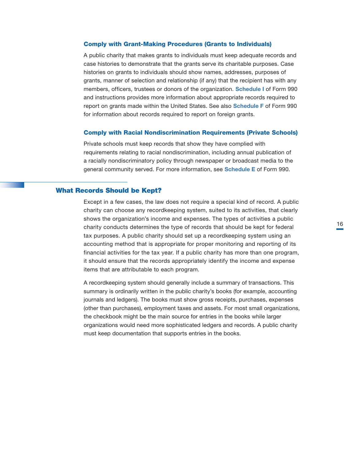## <span id="page-16-0"></span>Comply with Grant-Making Procedures (Grants to Individuals)

A public charity that makes grants to individuals must keep adequate records and case histories to demonstrate that the grants serve its charitable purposes. Case histories on grants to individuals should show names, addresses, purposes of grants, manner of selection and relationship (if any) that the recipient has with any members, officers, trustees or donors of the organization. **[Schedule I](https://www.irs.gov/pub/irs-pdf/f990si.pdf)** of Form 990 and instructions provides more information about appropriate records required to report on grants made within the United States. See also **[Schedule F](https://www.irs.gov/pub/irs-pdf/f990sf.pdf)** of Form 990 for information about records required to report on foreign grants.

# Comply with Racial Nondiscrimination Requirements (Private Schools)

Private schools must keep records that show they have complied with requirements relating to racial nondiscrimination, including annual publication of a racially nondiscriminatory policy through newspaper or broadcast media to the general community served. For more information, see **[Schedule E](https://www.irs.gov/pub/irs-pdf/f990se.pdf)** of Form 990.

#### What Records Should be Kept?

Except in a few cases, the law does not require a special kind of record. A public charity can choose any recordkeeping system, suited to its activities, that clearly shows the organization's income and expenses. The types of activities a public charity conducts determines the type of records that should be kept for federal tax purposes. A public charity should set up a recordkeeping system using an accounting method that is appropriate for proper monitoring and reporting of its financial activities for the tax year. If a public charity has more than one program, it should ensure that the records appropriately identify the income and expense items that are attributable to each program.

A recordkeeping system should generally include a summary of transactions. This summary is ordinarily written in the public charity's books (for example, accounting journals and ledgers). The books must show gross receipts, purchases, expenses (other than purchases), employment taxes and assets. For most small organizations, the checkbook might be the main source for entries in the books while larger organizations would need more sophisticated ledgers and records. A public charity must keep documentation that supports entries in the books.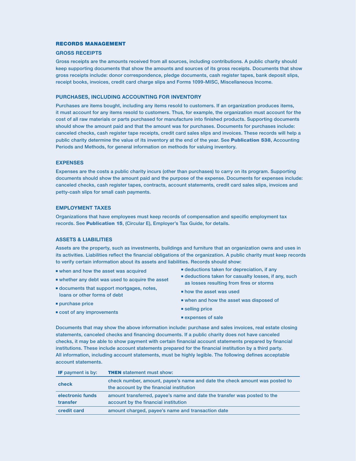#### RECORDS MANAGEMENT

#### GROSS RECEIPTS,

Gross receipts are the amounts received from all sources, including contributions. A public charity should keep supporting documents that show the amounts and sources of its gross receipts. Documents that show gross receipts include: donor correspondence, pledge documents, cash register tapes, bank deposit slips, receipt books, invoices, credit card charge slips and Forms 1099-MISC, Miscellaneous Income.

#### PURCHASES, INCLUDING ACCOUNTING FOR INVENTORY

Purchases are items bought, including any items resold to customers. If an organization produces items, it must account for any items resold to customers. Thus, for example, the organization must account for the cost of all raw materials or parts purchased for manufacture into finished products. Supporting documents should show the amount paid and that the amount was for purchases. Documents for purchases include: canceled checks, cash register tape receipts, credit card sales slips and invoices. These records will help a public charity determine the value of its inventory at the end of the year. See [Publication 538](https://www.irs.gov/publications/p538), Accounting Periods and Methods, for general information on methods for valuing inventory.

#### EXPENSES

Expenses are the costs a public charity incurs (other than purchases) to carry on its program. Supporting documents should show the amount paid and the purpose of the expense. Documents for expenses include: canceled checks, cash register tapes, contracts, account statements, credit card sales slips, invoices and petty-cash slips for small cash payments.

#### EMPLOYMENT TAXES

Organizations that have employees must keep records of compensation and specific employment tax records. See [Publication 15](https://www.irs.gov/publications/p15), (Circular E), Employer's Tax Guide, for details.

#### ASSETS & LIABILITIES

Assets are the property, such as investments, buildings and furniture that an organization owns and uses in its activities. Liabilities reflect the financial obligations of the organization. A public charity must keep records to verify certain information about its assets and liabilities. Records should show:

- when and how the asset was acquired,
- whether any debt was used to acquire the asset
- documents that support mortgages, notes, loans or other forms of debt
- purchase price
- cost of any improvements
- deductions taken for depreciation, if any
- deductions taken for casualty losses, if any, such as losses resulting from fires or storms
- how the asset was used
- when and how the asset was disposed of
- selling price
- expenses of sale

Documents that may show the above information include: purchase and sales invoices, real estate closing statements, canceled checks and financing documents. If a public charity does not have canceled checks, it may be able to show payment with certain financial account statements prepared by financial institutions. These include account statements prepared for the financial institution by a third party. All information, including account statements, must be highly legible. The following defines acceptable account statements.

| <b>IF</b> payment is by: | <b>THEN</b> statement must show:                                                                                       |
|--------------------------|------------------------------------------------------------------------------------------------------------------------|
| check                    | check number, amount, payee's name and date the check amount was posted to<br>the account by the financial institution |
| electronic funds         | amount transferred, payee's name and date the transfer was posted to the                                               |
| transfer                 | account by the financial institution                                                                                   |
| credit card              | amount charged, payee's name and transaction date                                                                      |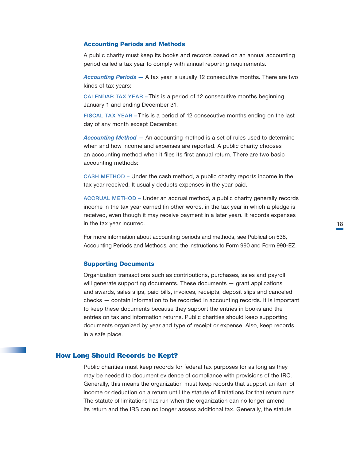#### <span id="page-18-0"></span>Accounting Periods and Methods

A public charity must keep its books and records based on an annual accounting period called a tax year to comply with annual reporting requirements.

*Accounting Periods —* A tax year is usually 12 consecutive months. There are two kinds of tax years:

CALENDAR TAX YEAR – This is a period of 12 consecutive months beginning January 1 and ending December 31.

FISCAL TAX YEAR – This is a period of 12 consecutive months ending on the last day of any month except December.

*Accounting Method —* An accounting method is a set of rules used to determine when and how income and expenses are reported. A public charity chooses an accounting method when it files its first annual return. There are two basic accounting methods:

CASH METHOD – Under the cash method, a public charity reports income in the tax year received. It usually deducts expenses in the year paid.

ACCRUAL METHOD – Under an accrual method, a public charity generally records income in the tax year earned (in other words, in the tax year in which a pledge is received, even though it may receive payment in a later year). It records expenses in the tax year incurred.

For more information about accounting periods and methods, see Publication 538, Accounting Periods and Methods, and the instructions to Form 990 and Form 990-EZ.

#### Supporting Documents

Organization transactions such as contributions, purchases, sales and payroll will generate supporting documents. These documents – grant applications and awards, sales slips, paid bills, invoices, receipts, deposit slips and canceled checks — contain information to be recorded in accounting records. It is important to keep these documents because they support the entries in books and the entries on tax and information returns. Public charities should keep supporting documents organized by year and type of receipt or expense. Also, keep records in a safe place.

# How Long Should Records be Kept?

Public charities must keep records for federal tax purposes for as long as they may be needed to document evidence of compliance with provisions of the IRC. Generally, this means the organization must keep records that support an item of income or deduction on a return until the statute of limitations for that return runs. The statute of limitations has run when the organization can no longer amend its return and the IRS can no longer assess additional tax. Generally, the statute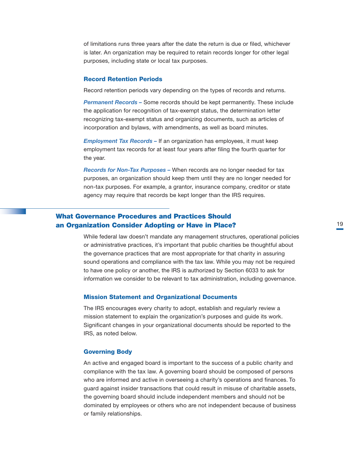<span id="page-19-0"></span>of limitations runs three years after the date the return is due or filed, whichever is later. An organization may be required to retain records longer for other legal purposes, including state or local tax purposes.

#### Record Retention Periods

Record retention periods vary depending on the types of records and returns.

*Permanent Records –* Some records should be kept permanently. These include the application for recognition of tax-exempt status, the determination letter recognizing tax-exempt status and organizing documents, such as articles of incorporation and bylaws, with amendments, as well as board minutes.

*Employment Tax Records –* If an organization has employees, it must keep employment tax records for at least four years after filing the fourth quarter for the year.

*Records for Non-Tax Purposes –* When records are no longer needed for tax purposes, an organization should keep them until they are no longer needed for non-tax purposes. For example, a grantor, insurance company, creditor or state agency may require that records be kept longer than the IRS requires.

# What Governance Procedures and Practices Should an Organization Consider Adopting or Have in Place?

While federal law doesn't mandate any management structures, operational policies or administrative practices, it's important that public charities be thoughtful about the governance practices that are most appropriate for that charity in assuring sound operations and compliance with the tax law. While you may not be required to have one policy or another, the IRS is authorized by Section 6033 to ask for information we consider to be relevant to tax administration, including governance.

#### Mission Statement and Organizational Documents

The IRS encourages every charity to adopt, establish and regularly review a mission statement to explain the organization's purposes and guide its work. Significant changes in your organizational documents should be reported to the IRS, as noted below.

#### Governing Body

An active and engaged board is important to the success of a public charity and compliance with the tax law. A governing board should be composed of persons who are informed and active in overseeing a charity's operations and finances. To guard against insider transactions that could result in misuse of charitable assets, the governing board should include independent members and should not be dominated by employees or others who are not independent because of business or family relationships.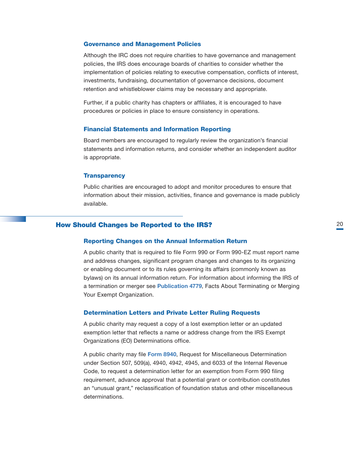#### <span id="page-20-0"></span>Governance and Management Policies

Although the IRC does not require charities to have governance and management policies, the IRS does encourage boards of charities to consider whether the implementation of policies relating to executive compensation, conflicts of interest, investments, fundraising, documentation of governance decisions, document retention and whistleblower claims may be necessary and appropriate.

Further, if a public charity has chapters or affiliates, it is encouraged to have procedures or policies in place to ensure consistency in operations.

#### Financial Statements and Information Reporting

Board members are encouraged to regularly review the organization's financial statements and information returns, and consider whether an independent auditor is appropriate.

#### **Transparency**

Public charities are encouraged to adopt and monitor procedures to ensure that information about their mission, activities, finance and governance is made publicly available.

# How Should Changes be Reported to the IRS?

#### Reporting Changes on the Annual Information Return

A public charity that is required to file Form 990 or Form 990-EZ must report name and address changes, significant program changes and changes to its organizing or enabling document or to its rules governing its affairs (commonly known as bylaws) on its annual information return. For information about informing the IRS of a termination or merger see [Publication 4779](https://www.irs.gov/pub/irs-pdf/p4779.pdf), Facts About Terminating or Merging Your Exempt Organization.

#### Determination Letters and Private Letter Ruling Requests

A public charity may request a copy of a lost exemption letter or an updated exemption letter that reflects a name or address change from the IRS Exempt Organizations (EO) Determinations office.

A public charity may file [Form 8940](https://www.irs.gov/pub/irs-pdf/f8940.pdf), Request for Miscellaneous Determination under Section 507, 509(a), 4940, 4942, 4945, and 6033 of the Internal Revenue Code, to request a determination letter for an exemption from Form 990 filing requirement, advance approval that a potential grant or contribution constitutes an "unusual grant," reclassification of foundation status and other miscellaneous determinations.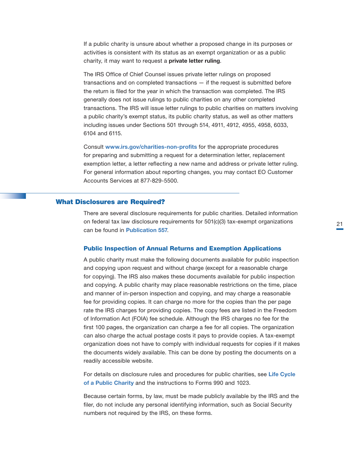<span id="page-21-0"></span>If a public charity is unsure about whether a proposed change in its purposes or activities is consistent with its status as an exempt organization or as a public charity, it may want to request a private letter ruling.

The IRS Office of Chief Counsel issues private letter rulings on proposed transactions and on completed transactions — if the request is submitted before the return is filed for the year in which the transaction was completed. The IRS generally does not issue rulings to public charities on any other completed transactions. The IRS will issue letter rulings to public charities on matters involving a public charity's exempt status, its public charity status, as well as other matters including issues under Sections 501 through 514, 4911, 4912, 4955, 4958, 6033, 6104 and 6115.

Consult [www.irs.gov/charities-non-profits](http://www.irs.gov/charities-non-profits) for the appropriate procedures for preparing and submitting a request for a determination letter, replacement exemption letter, a letter reflecting a new name and address or private letter ruling. For general information about reporting changes, you may contact EO Customer Accounts Services at 877-829-5500.

# What Disclosures are Required?

There are several disclosure requirements for public charities. Detailed information on federal tax law disclosure requirements for 501(c)(3) tax-exempt organizations can be found in [Publication 557](https://www.irs.gov/publications/p557).

#### Public Inspection of Annual Returns and Exemption Applications

A public charity must make the following documents available for public inspection and copying upon request and without charge (except for a reasonable charge for copying). The IRS also makes these documents available for public inspection and copying. A public charity may place reasonable restrictions on the time, place and manner of in-person inspection and copying, and may charge a reasonable fee for providing copies. It can charge no more for the copies than the per page rate the IRS charges for providing copies. The copy fees are listed in the Freedom of Information Act (FOIA) fee schedule. Although the IRS charges no fee for the first 100 pages, the organization can charge a fee for all copies. The organization can also charge the actual postage costs it pays to provide copies. A tax-exempt organization does not have to comply with individual requests for copies if it makes the documents widely available. This can be done by posting the documents on a readily accessible website.

For details on disclosure rules and procedures for public charities, see Life Cycle of a Public Charity and the instructions to Forms 990 and 1023.

Because certain forms, by law, must be made publicly available by the IRS and the filer, do not include any personal identifying information, such as Social Security numbers not required by the IRS, on these forms.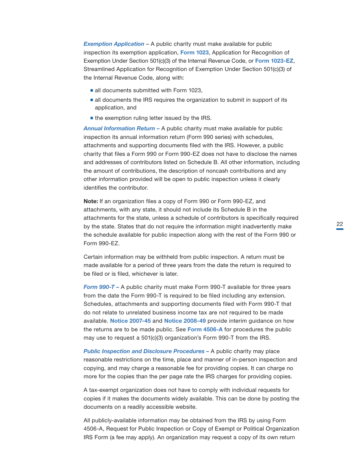*Exemption Application* – A public charity must make available for public inspection its exemption application, [Form 1023](http://www.irs.gov/pub/irs-pdf/f1023.pdf), Application for Recognition of Exemption Under Section 501(c)(3) of the Internal Revenue Code, or [Form 1023-EZ](https://www.irs.gov/pub/irs-pdf/f1023ez.pdf), Streamlined Application for Recognition of Exemption Under Section 501(c)(3) of the Internal Revenue Code, along with:

- all documents submitted with Form 1023,
- all documents the IRS requires the organization to submit in support of its application, and
- the exemption ruling letter issued by the IRS.

*Annual Information Return –* A public charity must make available for public inspection its annual information return (Form 990 series) with schedules, attachments and supporting documents filed with the IRS. However, a public charity that files a Form 990 or Form 990-EZ does not have to disclose the names and addresses of contributors listed on Schedule B. All other information, including the amount of contributions, the description of noncash contributions and any other information provided will be open to public inspection unless it clearly identifies the contributor.

Note: If an organization files a copy of Form 990 or Form 990-EZ, and attachments, with any state, it should not include its Schedule B in the attachments for the state, unless a schedule of contributors is specifically required by the state. States that do not require the information might inadvertently make the schedule available for public inspection along with the rest of the Form 990 or Form 990-EZ.

Certain information may be withheld from public inspection. A return must be made available for a period of three years from the date the return is required to be filed or is filed, whichever is later.

*Form 990-T –* A public charity must make Form 990-T available for three years from the date the Form 990-T is required to be filed including any extension. Schedules, attachments and supporting documents filed with Form 990-T that do not relate to unrelated business income tax are not required to be made available. [Notice 2007-45](https://www.irs.gov/irb/2007-22_IRB) and Notice [2008-49](https://www.irs.gov/irb/2008-20_IRB) provide interim guidance on how the returns are to be made public. See [Form 4506-A](https://www.irs.gov/pub/irs-pdf/f4506a.pdf) for procedures the public may use to request a 501(c)(3) organization's Form 990-T from the IRS.

*Public Inspection and Disclosure Procedures – A public charity may place* reasonable restrictions on the time, place and manner of in-person inspection and copying, and may charge a reasonable fee for providing copies. It can charge no more for the copies than the per page rate the IRS charges for providing copies.

A tax-exempt organization does not have to comply with individual requests for copies if it makes the documents widely available. This can be done by posting the documents on a readily accessible website.

All publicly-available information may be obtained from the IRS by using Form 4506-A, Request for Public Inspection or Copy of Exempt or Political Organization IRS Form (a fee may apply). An organization may request a copy of its own return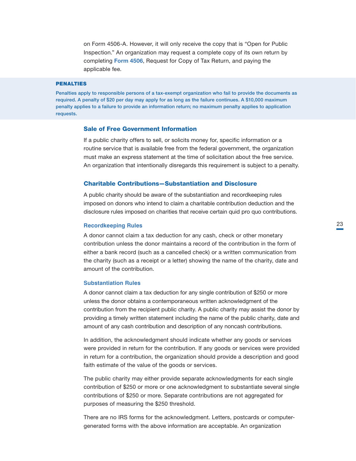<span id="page-23-0"></span>on Form 4506-A. However, it will only receive the copy that is "Open for Public Inspection." An organization may request a complete copy of its own return by completing [Form 4506](https://www.irs.gov/pub/irs-pdf/f4506.pdf), Request for Copy of Tax Return, and paying the applicable fee.

#### PENALTIES

Penalties apply to responsible persons of a tax-exempt organization who fail to provide the documents as required. A penalty of \$20 per day may apply for as long as the failure continues. A \$10,000 maximum penalty applies to a failure to provide an information return; no maximum penalty applies to application requests.

# Sale of Free Government Information

If a public charity offers to sell, or solicits money for, specific information or a routine service that is available free from the federal government, the organization must make an express statement at the time of solicitation about the free service. An organization that intentionally disregards this requirement is subject to a penalty.

#### Charitable Contributions—Substantiation and Disclosure

A public charity should be aware of the substantiation and recordkeeping rules imposed on donors who intend to claim a charitable contribution deduction and the disclosure rules imposed on charities that receive certain quid pro quo contributions.

#### **Recordkeeping Rules**

A donor cannot claim a tax deduction for any cash, check or other monetary contribution unless the donor maintains a record of the contribution in the form of either a bank record (such as a cancelled check) or a written communication from the charity (such as a receipt or a letter) showing the name of the charity, date and amount of the contribution.

#### **Substantiation Rules**

A donor cannot claim a tax deduction for any single contribution of \$250 or more unless the donor obtains a contemporaneous written acknowledgment of the contribution from the recipient public charity. A public charity may assist the donor by providing a timely written statement including the name of the public charity, date and amount of any cash contribution and description of any noncash contributions.

In addition, the acknowledgment should indicate whether any goods or services were provided in return for the contribution. If any goods or services were provided in return for a contribution, the organization should provide a description and good faith estimate of the value of the goods or services.

The public charity may either provide separate acknowledgments for each single contribution of \$250 or more or one acknowledgment to substantiate several single contributions of \$250 or more. Separate contributions are not aggregated for purposes of measuring the \$250 threshold.

There are no IRS forms for the acknowledgment. Letters, postcards or computergenerated forms with the above information are acceptable. An organization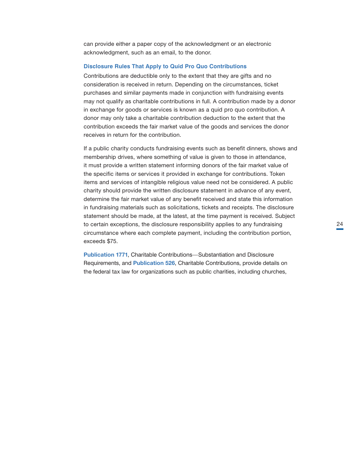can provide either a paper copy of the acknowledgment or an electronic acknowledgment, such as an email, to the donor.

#### **Disclosure Rules That Apply to Quid Pro Quo Contributions**

Contributions are deductible only to the extent that they are gifts and no consideration is received in return. Depending on the circumstances, ticket purchases and similar payments made in conjunction with fundraising events may not qualify as charitable contributions in full. A contribution made by a donor in exchange for goods or services is known as a quid pro quo contribution. A donor may only take a charitable contribution deduction to the extent that the contribution exceeds the fair market value of the goods and services the donor receives in return for the contribution.

If a public charity conducts fundraising events such as benefit dinners, shows and membership drives, where something of value is given to those in attendance, it must provide a written statement informing donors of the fair market value of the specific items or services it provided in exchange for contributions. Token items and services of intangible religious value need not be considered. A public charity should provide the written disclosure statement in advance of any event, determine the fair market value of any benefit received and state this information in fundraising materials such as solicitations, tickets and receipts. The disclosure statement should be made, at the latest, at the time payment is received. Subject to certain exceptions, the disclosure responsibility applies to any fundraising circumstance where each complete payment, including the contribution portion, exceeds \$75.

[Publication 1771](https://www.irs.gov/pub/irs-pdf/p1771.pdf), Charitable Contributions—Substantiation and Disclosure Requirements, and **[Publication 526](https://www.irs.gov/publications/p526)**, Charitable Contributions, provide details on the federal tax law for organizations such as public charities, including churches,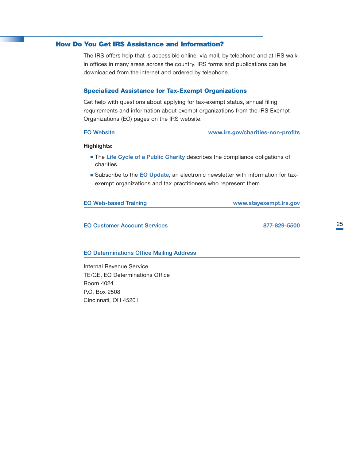# <span id="page-25-0"></span>How Do You Get IRS Assistance and Information?

The IRS offers help that is accessible online, via mail, by telephone and at IRS walkin offices in many areas across the country. IRS forms and publications can be downloaded from the internet and ordered by telephone.

#### Specialized Assistance for Tax-Exempt Organizations

Get help with questions about applying for tax-exempt status, annual filing requirements and information about exempt organizations from the IRS Exempt Organizations (EO) pages on the IRS website.

| www.irs.gov/charities-non-profits |
|-----------------------------------|

#### Highlights:

- The [Life Cycle of a Public Charity](https://www.irs.gov/charities-non-profits/charitable-organizations/life-cycle-of-a-public-charity) describes the compliance obligations of charities.
- Subscribe to the [EO Update](https://www.irs.gov/charities-non-profits/current-edition-of-exempt-organizations-update), an electronic newsletter with information for taxexempt organizations and tax practitioners who represent them.

| <b>EO Web-based Training</b> | www.stayexempt.irs.gov |
|------------------------------|------------------------|
|                              |                        |
|                              |                        |

EO Customer Account Services 877-829-5500

# EO Determinations Office Mailing Address

Internal Revenue Service, TE/GE, EO Determinations Office, Room 4024 P.O. Box 2508, Cincinnati, OH 45201,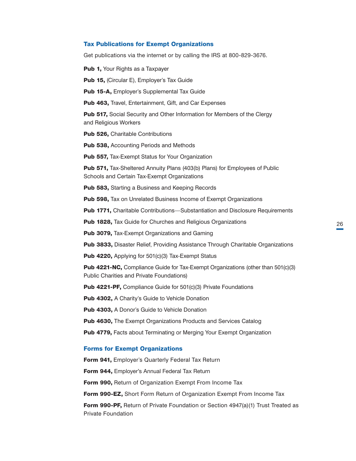#### <span id="page-26-0"></span>Tax Publications for Exempt Organizations

Get publications via the internet or by calling the IRS at 800-829-3676.

Pub 1, [Your Rights as a Taxpayer](http://www.irs.gov/pub/irs-pdf/p1.pdf)

Pub 15, ([Circular E\), Employer's Tax Guide](https://www.irs.gov/publications/p15)

Pub 15-A, [Employer's Supplemental Tax Guide](https://www.irs.gov/publications/p15a)

Pub 463, [Travel, Entertainment, Gift, and Car Expenses](https://www.irs.gov/publications/p463)

**Pub 517, Social Security and Other Information for Members of the Clergy** and Religious Workers,

Pub 526, [Charitable Contributions](https://www.irs.gov/publications/p526)

Pub 538, [Accounting Periods and Methods](https://www.irs.gov/publications/p538)

Pub 557, [Tax-Exempt Status for Your Organization](https://www.irs.gov/publications/p557)

Pub 571, Tax-Sheltered Annuity Plans (403(b) Plans) for Employees of Public Schools and Certain Tax-Exempt Organizations,

Pub 583, [Starting a Business and Keeping Records](https://www.irs.gov/publications/p583)

Pub 598, [Tax on Unrelated Business Income of Exempt Organizations](https://www.irs.gov/publications/p598)

Pub 1771, Charitable Contributions-Substantiation and Disclosure Requirements

Pub 1828, [Tax Guide for Churches and Religious Organizations](http://www.irs.gov/pub/irs-pdf/p1828.pdf)

Pub 3079, [Tax-Exempt Organizations and Gaming](http://www.irs.gov/pub/irs-pdf/p3079.pdf)

Pub 3833, [Disaster Relief, Providing Assistance Through Charitable Organizations](http://www.irs.gov/pub/irs-pdf/p3833.pdf)

Pub 4220, [Applying for 501\(c\)\(3\) Tax-Exempt Status](http://www.irs.gov/pub/irs-pdf/p4220.pdf)

Pub 4221-NC, [Compliance Guide for Tax-Exempt Organizations \(other than 501\(c\)\(3\)](http://www.irs.gov/pub/irs-pdf/p4221nc.pdf)  Public Charities and Private Foundations),

Pub 4221-PF, [Compliance Guide for 501\(c\)\(3\) Private Foundations](http://www.irs.gov/pub/irs-pdf/p4221pf.pdf)

Pub 4302, [A Charity's Guide to Vehicle Donation](http://www.irs.gov/pub/irs-pdf/p4302.pdf)

Pub 4303, [A Donor's Guide to Vehicle Donation](http://www.irs.gov/pub/irs-pdf/p4303.pdf)

**Pub 4630, [The Exempt Organizations Products and Services Catalog](http://www.irs.gov/pub/irs-pdf/p4630.pdf)** 

Pub 4779, [Facts about Terminating or Merging Your Exempt Organization](http://www.irs.gov/pub/irs-pdf/p4779.pdf)

# Forms for Exempt Organizations

Form 941, [Employer's Quarterly Federal Tax Return](http://www.irs.gov/pub/irs-pdf/f941.pdf)

Form 944, [Employer's Annual Federal Tax Return](http://www.irs.gov/pub/irs-pdf/f944.pdf)

Form 990, [Return of Organization Exempt From Income Tax](http://www.irs.gov/pub/irs-pdf/f990.pdf)

Form 990-EZ, [Short Form Return of Organization Exempt From Income Tax](http://www.irs.gov/pub/irs-pdf/f990ez.pdf)

**Form 990-PF,** Return of Private Foundation or Section 4947(a)(1) Trust Treated as Private Foundation,